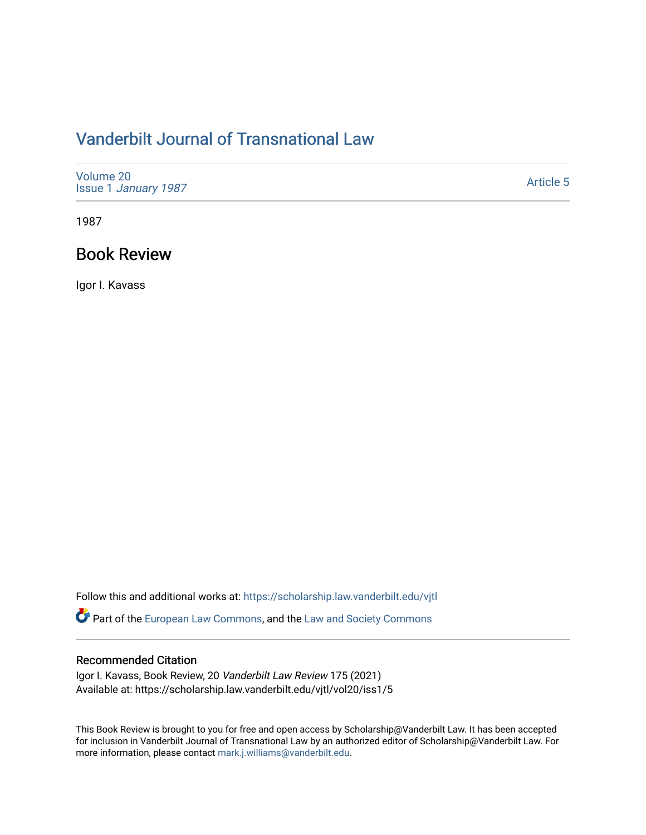# [Vanderbilt Journal of Transnational Law](https://scholarship.law.vanderbilt.edu/vjtl)

| Volume 20<br><b>Issue 1 January 1987</b> | Article 5 |
|------------------------------------------|-----------|
|------------------------------------------|-----------|

1987

### Book Review

Igor I. Kavass

Follow this and additional works at: [https://scholarship.law.vanderbilt.edu/vjtl](https://scholarship.law.vanderbilt.edu/vjtl?utm_source=scholarship.law.vanderbilt.edu%2Fvjtl%2Fvol20%2Fiss1%2F5&utm_medium=PDF&utm_campaign=PDFCoverPages) 

Part of the [European Law Commons,](http://network.bepress.com/hgg/discipline/1084?utm_source=scholarship.law.vanderbilt.edu%2Fvjtl%2Fvol20%2Fiss1%2F5&utm_medium=PDF&utm_campaign=PDFCoverPages) and the [Law and Society Commons](http://network.bepress.com/hgg/discipline/853?utm_source=scholarship.law.vanderbilt.edu%2Fvjtl%2Fvol20%2Fiss1%2F5&utm_medium=PDF&utm_campaign=PDFCoverPages) 

#### Recommended Citation

Igor I. Kavass, Book Review, 20 Vanderbilt Law Review 175 (2021) Available at: https://scholarship.law.vanderbilt.edu/vjtl/vol20/iss1/5

This Book Review is brought to you for free and open access by Scholarship@Vanderbilt Law. It has been accepted for inclusion in Vanderbilt Journal of Transnational Law by an authorized editor of Scholarship@Vanderbilt Law. For more information, please contact [mark.j.williams@vanderbilt.edu](mailto:mark.j.williams@vanderbilt.edu).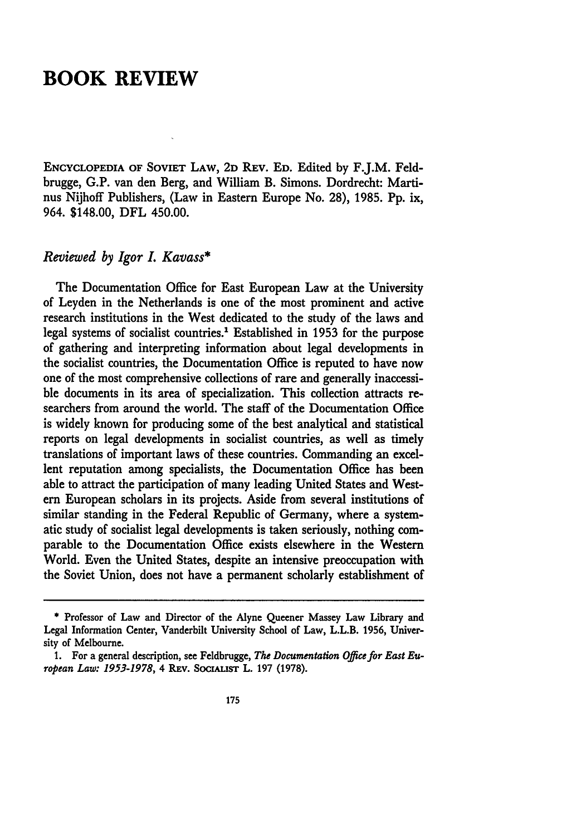# **BOOK REVIEW**

**ENCYCLOPEDIA OF SOVIET LAW, 2D REV. ED.** Edited **by** F.J.M. Feldbrugge, **G.P.** van den Berg, and William B. Simons. Dordrecht: Martinus **Nijhoff** Publishers, (Law in Eastern Europe No. **28), 1985. Pp.** ix, 964. \$148.00, DFL 450.00.

#### *Reviewed by Igor I. Kavass\**

The Documentation Office for East European Law at the University of Leyden in the Netherlands is one of the most prominent and active research institutions in the West dedicated to the study of the laws and legal systems of socialist countries.<sup>1</sup> Established in 1953 for the purpose of gathering and interpreting information about legal developments in the socialist countries, the Documentation Office is reputed to have now one of the most comprehensive collections of rare and generally inaccessible documents in its area of specialization. This collection attracts researchers from around the world. The staff of the Documentation Office is widely known for producing some of the best analytical and statistical reports on legal developments in socialist countries, as well as timely translations of important laws of these countries. Commanding an excellent reputation among specialists, the Documentation Office has been able to attract the participation of many leading United States and Western European scholars in its projects. Aside from several institutions of similar standing in the Federal Republic of Germany, where a systematic study of socialist legal developments is taken seriously, nothing comparable to the Documentation Office exists elsewhere in the Western World. Even the United States, despite an intensive preoccupation with the Soviet Union, does not have a permanent scholarly establishment of

<sup>\*</sup> Professor of Law and Director of the Alyne Queener Massey Law Library and Legal Information Center, Vanderbilt University School of Law, L.L.B. 1956, University of Melbourne.

<sup>1.</sup> For a general description, see Feldbrugge, *The Documentation Office for East European Law: 1953-1978, 4 REV. SOCIALIST L. 197 (1978).*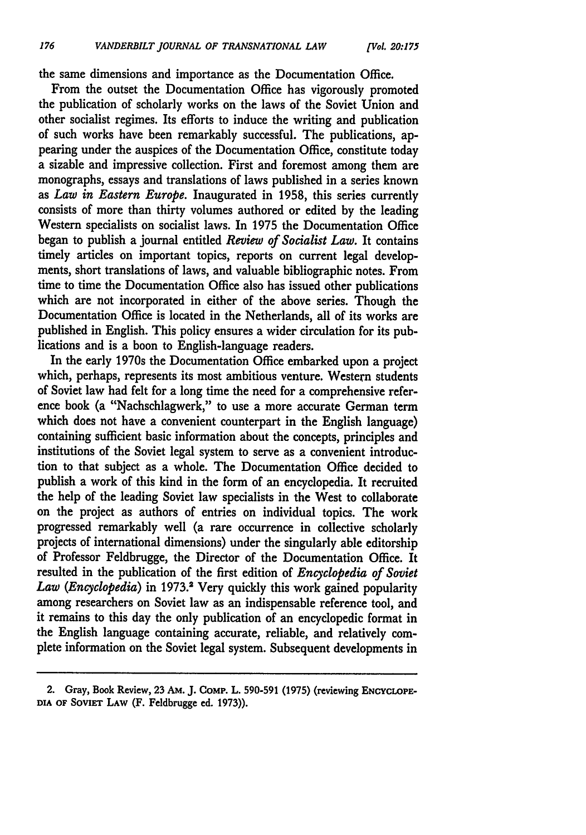the same dimensions and importance as the Documentation Office.

From the outset the Documentation Office has vigorously promoted the publication of scholarly works on the laws of the Soviet Union and other socialist regimes. Its efforts to induce the writing and publication of such works have been remarkably successful. The publications, appearing under the auspices of the Documentation Office, constitute today a sizable and impressive collection. First and foremost among them are monographs, essays and translations of laws published in a series known as *Law in Eastern Europe.* Inaugurated in **1958,** this series currently consists of more than thirty volumes authored or edited **by** the leading Western specialists on socialist laws. In **1975** the Documentation Office began to publish a journal entitled *Review of Socialist Law.* It contains timely articles on important topics, reports on current legal developments, short translations of laws, and valuable bibliographic notes. From time to time the Documentation Office also has issued other publications which are not incorporated in either of the above series. Though the Documentation Office is located in the Netherlands, all of its works are published in English. This policy ensures a wider circulation for its publications and is a boon to English-language readers.

In the early 1970s the Documentation Office embarked upon a project which, perhaps, represents its most ambitious venture. Western students of Soviet law had felt for a long time the need for a comprehensive reference book (a "Nachschlagwerk," to use a more accurate German term which does not have a convenient counterpart in the English language) containing sufficient basic information about the concepts, principles and institutions of the Soviet legal system to serve as a convenient introduction to that subject as a whole. The Documentation Office decided to publish a work of this kind in the form of an encyclopedia. It recruited the help of the leading Soviet law specialists in the West to collaborate on the project as authors of entries on individual topics. The work progressed remarkably well (a rare occurrence in collective scholarly projects of international dimensions) under the singularly able editorship of Professor Feldbrugge, the Director of the Documentation Office. It resulted in the publication of the first edition of *Encyclopedia of Soviet Law (Encyclopedia)* in **1973.2** Very quickly this work gained popularity among researchers on Soviet law as an indispensable reference tool, and **it** remains to this day the only publication of an encyclopedic format in the English language containing accurate, reliable, and relatively complete information on the Soviet legal system. Subsequent developments in

<sup>2.</sup> Gray, Book Review, **23 AM. J. COMP.** L. **590-591 (1975)** (reviewing **ENCYCLOPE-DIA OF** SoviET **LAW** (F. Feldbrugge **ed. 1973)).**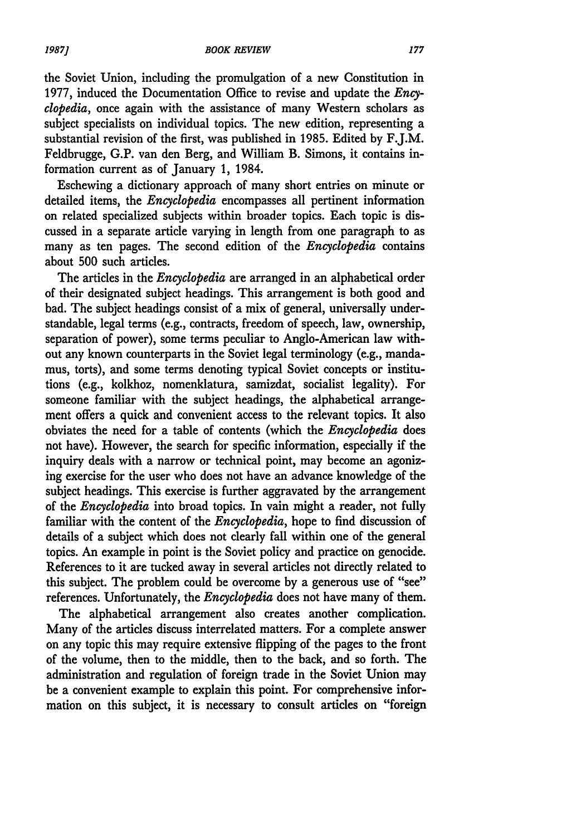the Soviet Union, including the promulgation of a new Constitution in 1977, induced the Documentation Office to revise and update the *Encyclopedia,* once again with the assistance of many Western scholars as subject specialists on individual topics. The new edition, representing a substantial revision of the first, was published in 1985. Edited by F.J.M. Feldbrugge, G.P. van den Berg, and William B. Simons, it contains information current as of January 1, 1984.

Eschewing a dictionary approach of many short entries on minute or detailed items, the *Encyclopedia* encompasses all pertinent information on related specialized subjects within broader topics. Each topic is discussed in a separate article varying in length from one paragraph to as many as ten pages. The second edition of the *Encyclopedia* contains about 500 such articles.

The articles in the *Encyclopedia* are arranged in an alphabetical order of their designated subject headings. This arrangement is both good and bad. The subject headings consist of a mix of general, universally understandable, legal terms (e.g., contracts, freedom of speech, law, ownership, separation of power), some terms peculiar to Anglo-American law without any known counterparts in the Soviet legal terminology (e.g., mandamus, torts), and some terms denoting typical Soviet concepts or institutions (e.g., kolkhoz, nomenklatura, samizdat, socialist legality). For someone familiar with the subject headings, the alphabetical arrangement offers a quick and convenient access to the relevant topics. It also obviates the need for a table of contents (which the *Encyclopedia* does not have). However, the search for specific information, especially if the inquiry deals with a narrow or technical point, may become an agonizing exercise for the user who does not have an advance knowledge of the subject headings. This exercise is further aggravated by the arrangement of the *Encyclopedia* into broad topics. In vain might a reader, not fully familiar with the content of the *Encyclopedia,* hope to find discussion of details of a subject which does not clearly fall within one of the general topics. An example in point is the Soviet policy and practice on genocide. References to it are tucked away in several articles not directly related to this subject. The problem could be overcome by a generous use of "see" references. Unfortunately, the *Encyclopedia* does not have many of them.

The alphabetical arrangement also creates another complication. Many of the articles discuss interrelated matters. For a complete answer on any topic this may require extensive flipping of the pages to the front of the volume, then to the middle, then to the back, and so forth. The administration and regulation of foreign trade in the Soviet Union may be a convenient example to explain this point. For comprehensive information on this subject, it is necessary to consult articles on "foreign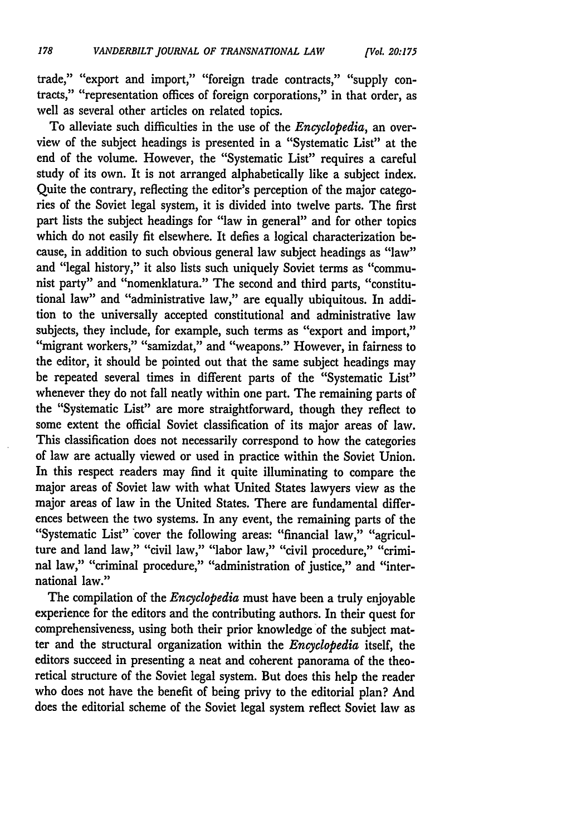trade," "export and import," "foreign trade contracts," "supply contracts," "representation offices of foreign corporations," in that order, as well as several other articles on related topics.

To alleviate such difficulties in the use of the *Encyclopedia,* an overview of the subject headings is presented in a "Systematic List" at the end of the volume. However, the "Systematic List" requires a careful study of its own. It is not arranged alphabetically like a subject index. Quite the contrary, reflecting the editor's perception of the major categories of the Soviet legal system, it is divided into twelve parts. The first part lists the subject headings for "law in general" and for other topics which do not easily fit elsewhere. It defies a logical characterization because, in addition to such obvious general law subject headings as "law" and "legal history," it also lists such uniquely Soviet terms as "communist party" and "nomenklatura." The second and third parts, "constitutional law" and "administrative law," are equally ubiquitous. In addition to the universally accepted constitutional and administrative law subjects, they include, for example, such terms as "export and import," "migrant workers," "samizdat," and "weapons." However, in fairness to the editor, it should **be** pointed out that the same subject headings may be repeated several times in different parts of the "Systematic List" whenever they do not fall neatly within one part. The remaining parts of the "Systematic List" are more straightforward, though they reflect to some extent the official Soviet classification of its major areas of law. This classification does not necessarily correspond to how the categories of law are actually viewed or used in practice within the Soviet Union. In this respect readers may find it quite illuminating to compare the major areas of Soviet law with what United States lawyers view as the major areas of law in the United States. There are fundamental differences between the two systems. In any event, the remaining parts of the "Systematic List" cover the following areas: "financial law," "agriculture and land law," "civil law," "labor law," "civil procedure," "criminal law," "criminal procedure," "administration of justice," and "international law."

The compilation of the *Encyclopedia* must have been a truly enjoyable experience for the editors and the contributing authors. In their quest for comprehensiveness, using both their prior knowledge of the subject matter and the structural organization within the *Encyclopedia* itself, the editors succeed in presenting a neat and coherent panorama of the theoretical structure of the Soviet legal system. But does this help the reader who does not have the benefit of being privy to the editorial plan? And does the editorial scheme of the Soviet legal system reflect Soviet law as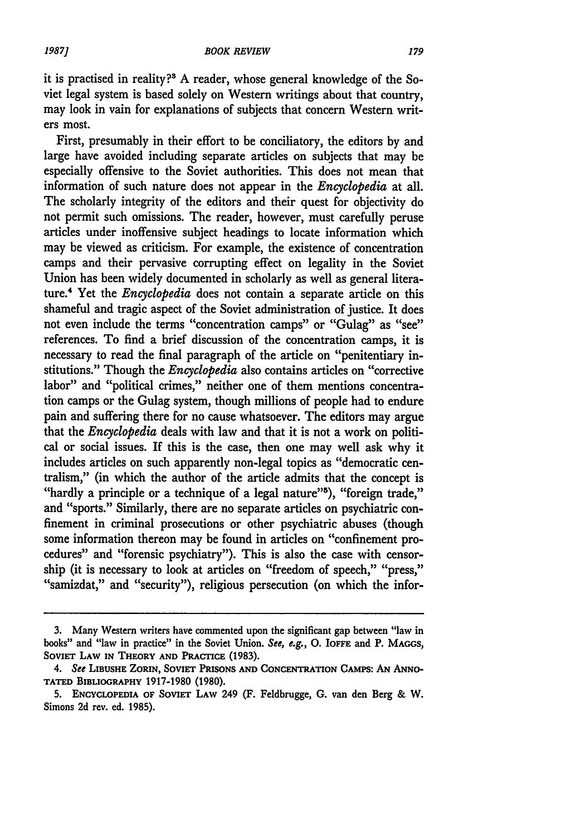it is practised in reality?3 **A** reader, whose general knowledge of the Soviet legal system is based solely on Western writings about that country, may look in vain for explanations of subjects that concern Western writers most.

First, presumably in their effort to be conciliatory, the editors **by** and large have avoided including separate articles on subjects that may be especially offensive to the Soviet authorities. This does not mean that information of such nature does not appear in the *Encyclopedia* at all. The scholarly integrity of the editors and their quest for objectivity do not permit such omissions. The reader, however, must carefully peruse articles under inoffensive subject headings to locate information which may be viewed as criticism. For example, the existence of concentration camps and their pervasive corrupting effect on legality in the Soviet Union has been widely documented in scholarly as well as general literature.4 Yet the *Encyclopedia* does not contain a separate article on this shameful and tragic aspect of the Soviet administration of justice. It does not even include the terms "concentration camps" or "Gulag" as "see" references. To find a brief discussion of the concentration camps, it is necessary to read the final paragraph of the article on "penitentiary institutions." Though the *Encyclopedia* also contains articles on "corrective labor" and "political crimes," neither one of them mentions concentration camps or the Gulag system, though millions of people had to endure pain and suffering there for no cause whatsoever. The editors may argue that the *Encyclopedia* deals with law and that it is not a work on political or social issues. If this is the case, then one may well ask why it includes articles on such apparently non-legal topics as "democratic centralism," (in which the author of the article admits that the concept is "hardly a principle or a technique of a legal nature"<sup>5</sup>), "foreign trade," and "sports." Similarly, there are no separate articles on psychiatric confinement in criminal prosecutions or other psychiatric abuses (though some information thereon may be found in articles on "confinement procedures" and "forensic psychiatry"). This is also the case with censorship (it is necessary to look at articles on "freedom of speech," "press," "samizdat," and "security"), religious persecution (on which the infor-

<sup>3.</sup> Many Western writers have commented upon the significant gap between "law in books" and "law in practice" in the Soviet Union. See, e.g., **0. IOFFE** and P. MAGGS, SOVIET **LAW IN THEORY AND** PRACTICE **(1983).**

*<sup>4.</sup> See* **LIBUSHE** ZORIN, **SOVIET PRISONS AND CONCENTRATION CAMPS: AN** ANNO-**TATED BIBLIOGRAPHY** 1917-1980 **(1980).**

**<sup>5.</sup> ENCYCLOPEDIA OF SOVIET LAW** 249 (F. Feldbrugge, **G.** van den Berg **&** W. **Simons** 2d **rev. ed. 1985).**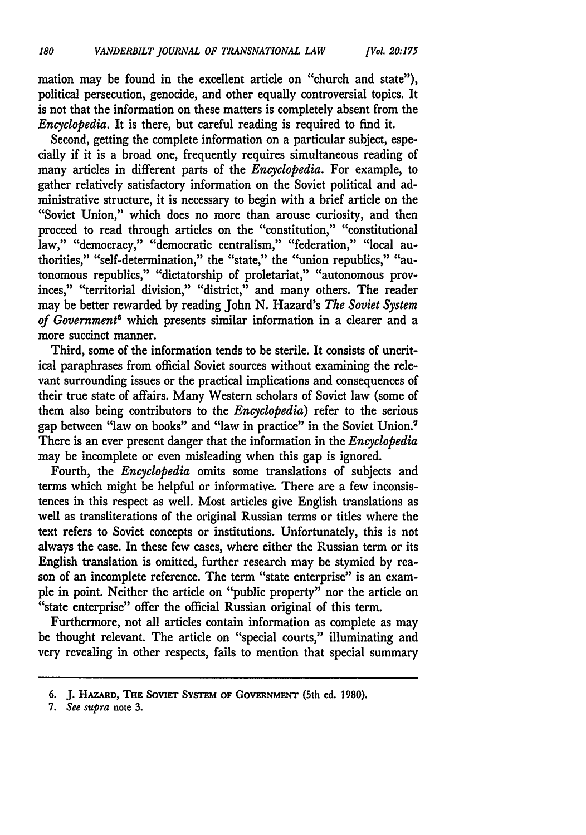mation may be found in the excellent article on "church and state"), political persecution, genocide, and other equally controversial topics. It is not that the information on these matters is completely absent from the *Encyclopedia.* It is there, but careful reading is required to find it.

Second, getting the complete information on a particular subject, especially if it is a broad one, frequently requires simultaneous reading of many articles in different parts of the *Encyclopedia.* For example, to gather relatively satisfactory information on the Soviet political and administrative structure, it is necessary to begin with a brief article on the "Soviet Union," which does no more than arouse curiosity, and then proceed to read through articles on the "constitution," "constitutional law," "democracy," "democratic centralism," "federation," "local authorities," "self-determination," the "state," the "union republics," "autonomous republics," "dictatorship of proletariat," "autonomous provinces," "territorial division," "district," and many others. The reader may be better rewarded by reading John N. Hazard's *The Soviet System of Government6* which presents similar information in a clearer and a more succinct manner.

Third, some of the information tends to be sterile. It consists of uncritical paraphrases from official Soviet sources without examining the relevant surrounding issues or the practical implications and consequences of their true state of affairs. Many Western scholars of Soviet law (some of them also being contributors to the *Encyclopedia)* refer to the serious gap between "law on books" and "law in practice" in the Soviet Union." There is an ever present danger that the information in the *Encyclopedia* may be incomplete or even misleading when this gap is ignored.

Fourth, the *Encyclopedia* omits some translations of subjects and terms which might be helpful or informative. There are a few inconsistences in this respect as well. Most articles give English translations as well as transliterations of the original Russian terms or titles where the text refers to Soviet concepts or institutions. Unfortunately, this is not always the case. In these few cases, where either the Russian term or its English translation is omitted, further research may be stymied by reason of an incomplete reference. The term "state enterprise" is an example in point. Neither the article on "public property" nor the article on "state enterprise" offer the official Russian original of this term.

Furthermore, not all articles contain information as complete as may be thought relevant. The article on "special courts," illuminating and very revealing in other respects, fails to mention that special summary

**<sup>6.</sup> J. HAZARD, THE SOVIET** SYSTEM **OF GOVERNMENT** (5th ed. **1980).**

**<sup>7.</sup>** See supra note **3.**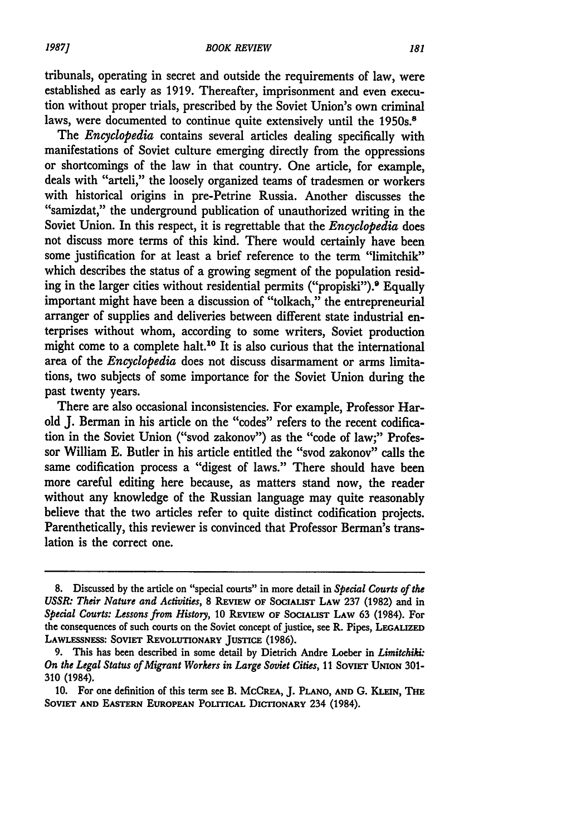tribunals, operating in secret and outside the requirements of law, were established as early as 1919. Thereafter, imprisonment and even execution without proper trials, prescribed **by** the Soviet Union's own criminal laws, were documented to continue quite extensively until the 1950s.<sup>8</sup>

The *Encyclopedia* contains several articles dealing specifically with manifestations of Soviet culture emerging directly from the oppressions or shortcomings of the law in that country. One article, for example, deals with "arteli," the loosely organized teams of tradesmen or workers with historical origins in pre-Petrine Russia. Another discusses the "samizdat," the underground publication of unauthorized writing in the Soviet Union. In this respect, it is regrettable that the *Encyclopedia* does not discuss more terms of this kind. There would certainly have been some justification for at least a brief reference to the term "limitchik" which describes the status of a growing segment of the population residing in the larger cities without residential permits ("propiski").<sup>9</sup> Equally important might have been a discussion of "tolkach," the entrepreneurial arranger of supplies and deliveries between different state industrial enterprises without whom, according to some writers, Soviet production might come to a complete halt.<sup>10</sup> It is also curious that the international area of the *Encyclopedia* does not discuss disarmament or arms limitations, two subjects of some importance for the Soviet Union during the past twenty years.

There are also occasional inconsistencies. For example, Professor Harold J. Berman in his article on the "codes" refers to the recent codification in the Soviet Union ("svod zakonov") as the "code of law;" Professor William E. Butler in his article entitled the "svod zakonov" calls the same codification process a "digest of laws." There should have been more careful editing here because, as matters stand now, the reader without any knowledge of the Russian language may quite reasonably believe that the two articles refer to quite distinct codification projects. Parenthetically, this reviewer is convinced that Professor Berman's translation is the correct one.

<sup>8.</sup> Discussed by the article on "special courts" in more detail in *Special Courts of the USSR. Their Nature and Activities,* **8 REVIEW OF** SOCIALIST **LAW** 237 (1982) and in *Special Courts: Lessons from History,* **10 REVIEW OF SOCIALIST LAW** 63 (1984). For the consequences of such courts on the Soviet concept of justice, see R. Pipes, **LEGAUzED LAWLESSNESS: SOVIET REVOLUTIONARY JUsTICE (1986).**

<sup>9.</sup> This has been described in some detail **by** Dietrich Andre Loeber in *Limitchiki: On the Legal Status of Migrant Workers in Large Soviet Cities,* <sup>11</sup>**SOVIET UNION** 301- **310** (1984).

<sup>10.</sup> For one definition of this term see B. MCCREA, J. **PLANO, AND** *G.* **KLEIN, THE SOVIET AND EASTERN EUROPEAN POLITICAL DICTIONARY** 234 (1984).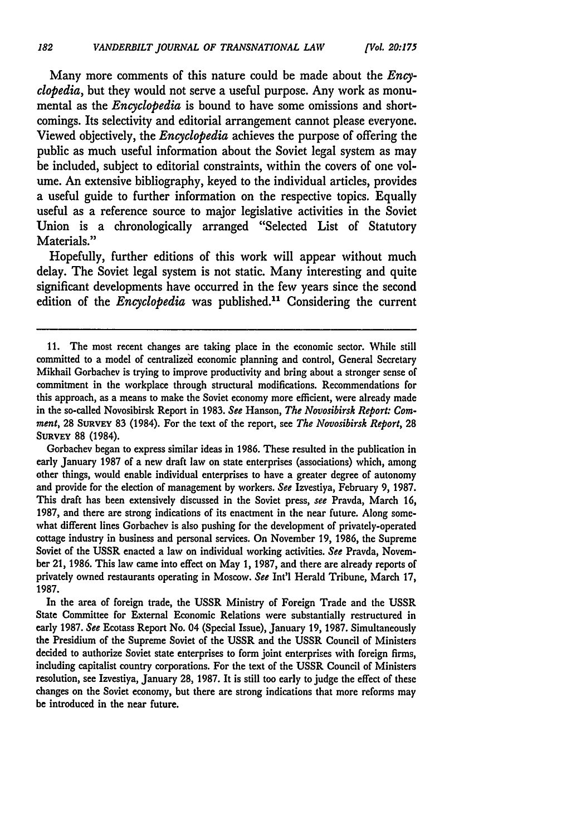Many more comments of this nature could be made about the *Encyclopedia,* but they would not serve a useful purpose. Any work as monumental as the *Encyclopedia* is bound to have some omissions and shortcomings. Its selectivity and editorial arrangement cannot please everyone. Viewed objectively, the *Encyclopedia* achieves the purpose of offering the public as much useful information about the Soviet legal system as may be included, subject to editorial constraints, within the covers of one volume. An extensive bibliography, keyed to the individual articles, provides a useful guide to further information on the respective topics. Equally useful as a reference source to major legislative activities in the Soviet Union is a chronologically arranged "Selected List of Statutory Materials."

Hopefully, further editions of this work will appear without much delay. The Soviet legal system is not static. Many interesting and quite significant developments have occurred in the few years since the second edition of the *Encyclopedia* was published.11 Considering the current

Gorbachev began to express similar ideas in **1986.** These resulted in the publication in early January **1987** of a new draft law on state enterprises (associations) which, among other things, would enable individual enterprises to have a greater degree of autonomy and provide for the election of management **by** workers. *See* Izvestiya, February **9, 1987.** This draft has been extensively discussed in the Soviet press, *see* Pravda, March **16, 1987,** and there are strong indications of its enactment in the near future. Along somewhat different lines Gorbachev is also pushing for the development of privately-operated cottage industry in business and personal services. On November **19, 1986,** the Supreme Soviet of the **USSR** enacted a law on individual working activities. *See* Pravda, November 21, **1986.** This law came into effect on May **1, 1987,** and there are already reports of privately owned restaurants operating in Moscow. *See* Int'l Herald Tribune, March **17, 1987.**

In the area of foreign trade, the **USSR** Ministry of Foreign Trade and the **USSR** State Committee for External Economic Relations were substantially restructured in early **1987.** *See* Ecotass Report No. 04 (Special Issue), January **19, 1987.** Simultaneously the Presidium of the Supreme Soviet of the **USSR** and the **USSR** Council of Ministers decided to authorize Soviet state enterprises to form joint enterprises with foreign firms, including capitalist country corporations. For the text of the **USSR** Council of Ministers resolution, see Izvestiya, January 28, 1987. It is still too early to judge the effect of these changes on the Soviet economy, but there are strong indications that more reforms may be introduced in the near future.

**<sup>11.</sup>** The most recent changes are taking place in the economic sector. While still committed to a model of centralized economic planning and control, General Secretary Mikhail Gorbachev is trying to improve productivity and bring about a stronger sense of commitment in the workplace through structural modifications. Recommendations for this approach, as a means to make the Soviet economy more efficient, were already made in the so-called Novosibirsk Report in **1983.** *See* Hanson, *The Novosibirsk Report: Comment,* **28 SURVEY 83** (1984). For the text of the report, see *The Novosibirsk Report,* **28 SURVEY 88** (1984).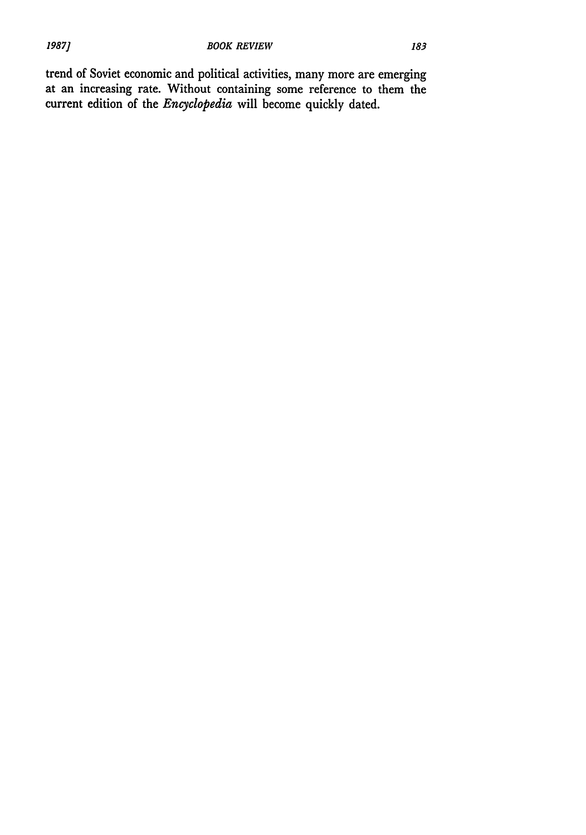trend of Soviet economic and political activities, many more are emerging at an increasing rate. Without containing some reference to them the current edition of the *Encyclopedia* will become quickly dated.